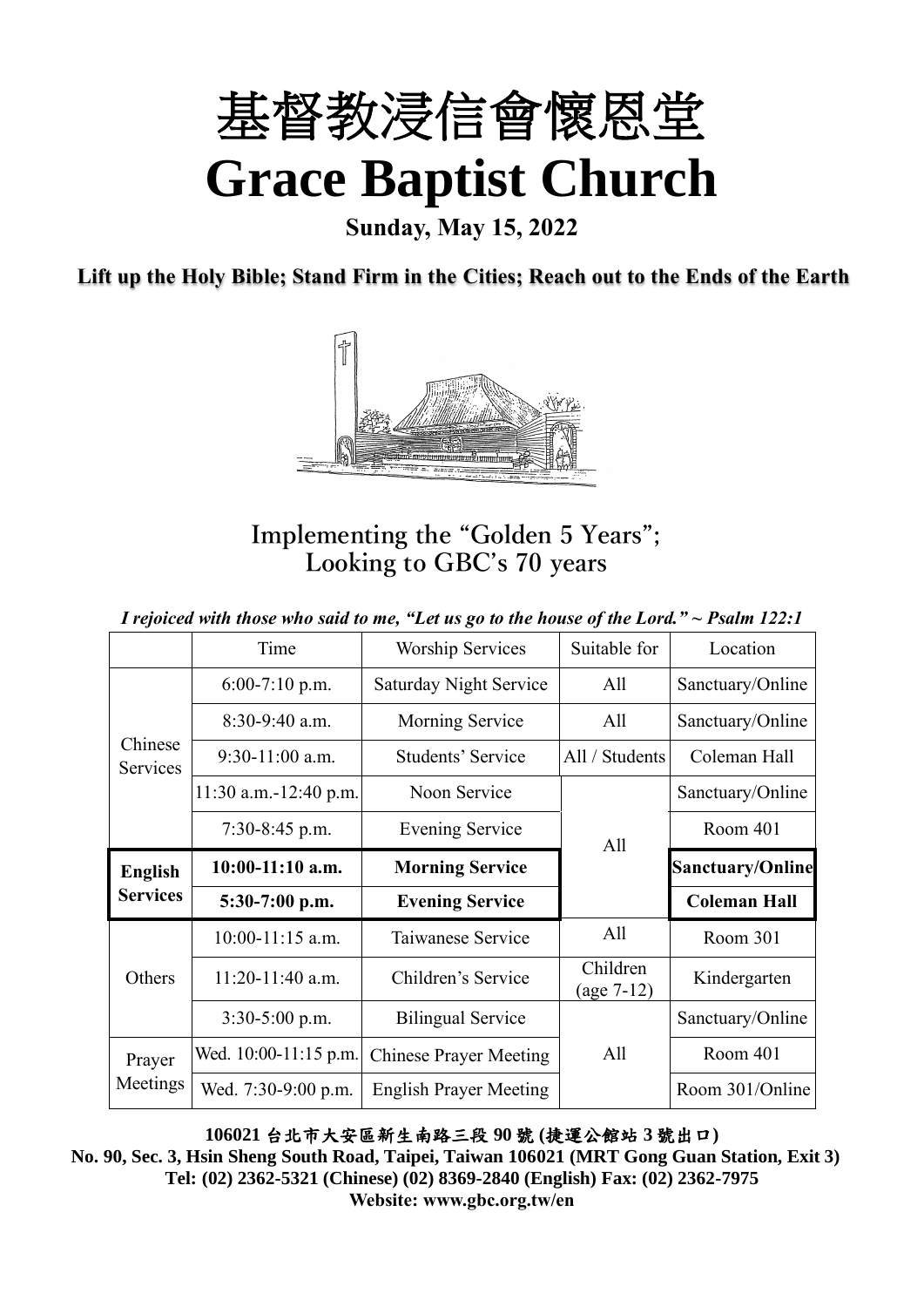

**Sunday, May 15, 2022**

**Lift up the Holy Bible; Stand Firm in the Cities; Reach out to the Ends of the Earth**



# **Implementing the "Golden 5 Years"; Looking to GBC's 70 years**

*I rejoiced with those who said to me, "Let us go to the house of the Lord." ~ Psalm 122:1*

|                            | Time                    | <b>Worship Services</b>       | Suitable for           | Location                |
|----------------------------|-------------------------|-------------------------------|------------------------|-------------------------|
|                            | $6:00-7:10$ p.m.        | <b>Saturday Night Service</b> | All                    | Sanctuary/Online        |
|                            | $8:30-9:40$ a.m.        | Morning Service               | All                    | Sanctuary/Online        |
| Chinese<br><b>Services</b> | $9:30-11:00$ a.m.       | Students' Service             | All / Students         | Coleman Hall            |
|                            | $11:30$ a.m.-12:40 p.m. | Noon Service                  |                        | Sanctuary/Online        |
|                            | $7:30-8:45$ p.m.        | Evening Service               | All                    | Room 401                |
| <b>English</b>             | $10:00-11:10$ a.m.      | <b>Morning Service</b>        |                        | <b>Sanctuary/Online</b> |
|                            |                         |                               |                        |                         |
| <b>Services</b>            | 5:30-7:00 p.m.          | <b>Evening Service</b>        |                        | <b>Coleman Hall</b>     |
|                            | $10:00-11:15$ a.m.      | Taiwanese Service             | All                    | Room 301                |
| Others                     | $11:20-11:40$ a.m.      | Children's Service            | Children<br>(age 7-12) | Kindergarten            |
|                            | $3:30-5:00$ p.m.        | <b>Bilingual Service</b>      |                        | Sanctuary/Online        |
| Prayer                     | Wed. 10:00-11:15 p.m.   | <b>Chinese Prayer Meeting</b> | All                    | Room 401                |

**106021** 台北市大安區新生南路三段 **90** 號 **(**捷運公館站 **3** 號出口**)**

**No. 90, Sec. 3, Hsin Sheng South Road, Taipei, Taiwan 106021 (MRT Gong Guan Station, Exit 3) Tel: (02) 2362-5321 (Chinese) (02) 8369-2840 (English) Fax: (02) 2362-7975 Website: www.gbc.org.tw/en**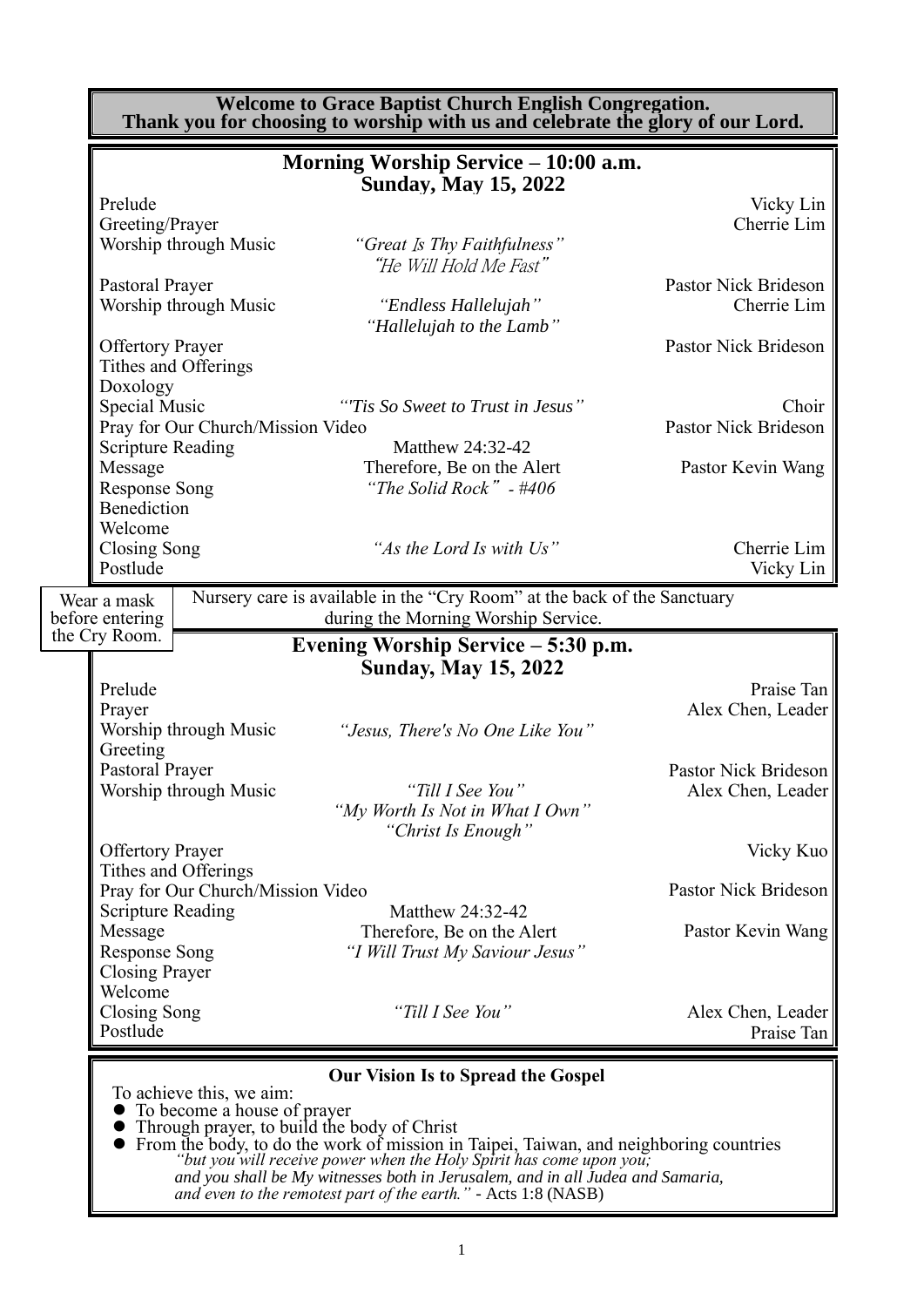**Welcome to Grace Baptist Church English Congregation. Thank you for choosing to worship with us and celebrate the glory of our Lord.**

|                                                 |                                   | Morning Worship Service - 10:00 a.m.<br><b>Sunday, May 15, 2022</b>                                             |                               |
|-------------------------------------------------|-----------------------------------|-----------------------------------------------------------------------------------------------------------------|-------------------------------|
| Prelude                                         |                                   |                                                                                                                 | Vicky Lin                     |
| Greeting/Prayer                                 |                                   |                                                                                                                 | Cherrie Lim                   |
|                                                 | Worship through Music             | "Great Is Thy Faithfulness"<br>"He Will Hold Me Fast"                                                           |                               |
| Pastoral Prayer                                 |                                   |                                                                                                                 | Pastor Nick Brideson          |
|                                                 | Worship through Music             | "Endless Hallelujah"<br>"Hallelujah to the Lamb"                                                                | Cherrie Lim                   |
| <b>Offertory Prayer</b><br>Tithes and Offerings |                                   |                                                                                                                 | Pastor Nick Brideson          |
| Doxology                                        |                                   |                                                                                                                 |                               |
| Special Music                                   | Pray for Our Church/Mission Video | "Tis So Sweet to Trust in Jesus"                                                                                | Choir<br>Pastor Nick Brideson |
| <b>Scripture Reading</b>                        |                                   | Matthew 24:32-42                                                                                                |                               |
| Message                                         |                                   | Therefore, Be on the Alert                                                                                      | Pastor Kevin Wang             |
| <b>Response Song</b>                            |                                   | "The Solid Rock" - #406                                                                                         |                               |
| Benediction                                     |                                   |                                                                                                                 |                               |
| Welcome                                         |                                   |                                                                                                                 |                               |
| <b>Closing Song</b>                             |                                   | "As the Lord Is with Us"                                                                                        | Cherrie Lim                   |
| Postlude                                        |                                   |                                                                                                                 | Vicky Lin                     |
|                                                 |                                   |                                                                                                                 |                               |
| Wear a mask<br>before entering                  |                                   | Nursery care is available in the "Cry Room" at the back of the Sanctuary<br>during the Morning Worship Service. |                               |
| the Cry Room.                                   |                                   |                                                                                                                 |                               |
|                                                 |                                   | Evening Worship Service – 5:30 p.m.                                                                             |                               |
|                                                 |                                   | <b>Sunday, May 15, 2022</b>                                                                                     |                               |
| Prelude                                         |                                   |                                                                                                                 | Praise Tan                    |
| Prayer                                          |                                   |                                                                                                                 | Alex Chen, Leader             |
| Greeting                                        | Worship through Music             | "Jesus, There's No One Like You"                                                                                |                               |
| Pastoral Prayer                                 |                                   |                                                                                                                 | Pastor Nick Brideson          |
|                                                 | Worship through Music             | "Till I See You"                                                                                                | Alex Chen, Leader             |
|                                                 |                                   | "My Worth Is Not in What I Own"                                                                                 |                               |
|                                                 |                                   | "Christ Is Enough"                                                                                              |                               |
| <b>Offertory Prayer</b>                         |                                   |                                                                                                                 | Vicky Kuo                     |
| Tithes and Offerings                            |                                   |                                                                                                                 |                               |
|                                                 | Pray for Our Church/Mission Video |                                                                                                                 | Pastor Nick Brideson          |
| <b>Scripture Reading</b>                        |                                   | Matthew 24:32-42                                                                                                |                               |
| Message                                         |                                   | Therefore, Be on the Alert                                                                                      | Pastor Kevin Wang             |
| <b>Response Song</b>                            |                                   | "I Will Trust My Saviour Jesus"                                                                                 |                               |
| <b>Closing Prayer</b>                           |                                   |                                                                                                                 |                               |
| Welcome                                         |                                   |                                                                                                                 |                               |
| Closing Song                                    |                                   | "Till I See You"                                                                                                | Alex Chen, Leader             |
| Postlude                                        |                                   |                                                                                                                 | Praise Tan                    |
|                                                 |                                   |                                                                                                                 |                               |
|                                                 |                                   | <b>Our Vision Is to Spread the Gospel</b>                                                                       |                               |
|                                                 | To achieve this, we aim:          |                                                                                                                 |                               |
|                                                 | To become a house of prayer       | Through prayer, to build the body of Christ                                                                     |                               |
|                                                 |                                   | • From the body, to do the work of mission in Taipei, Taiwan, and neighboring countries                         |                               |
|                                                 |                                   | "but you will receive power when the Holy Spirit has come upon you,                                             |                               |
|                                                 |                                   | and you shall be My witnesses both in Jerusalem, and in all Judea and Samaria,                                  |                               |

*and even to the remotest part of the earth." -* Acts 1:8 (NASB)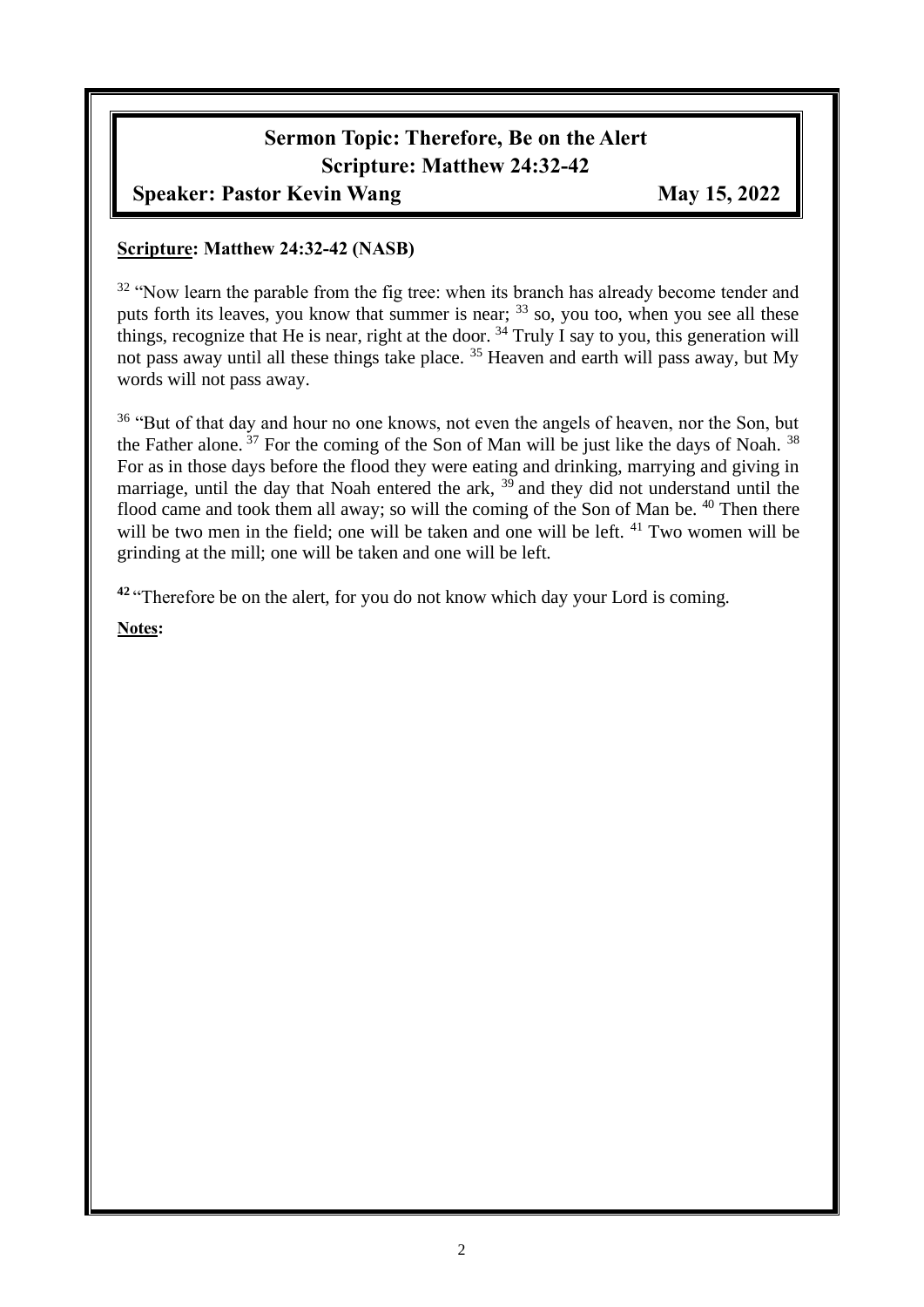# **Sermon Topic: Therefore, Be on the Alert Scripture: Matthew 24:32-42**

**Speaker: Pastor Kevin Wang May 15, 2022** 

#### **Scripture: Matthew 24:32-42 (NASB)**

<sup>32</sup> "Now learn the parable from the fig tree: when its branch has already become tender and puts forth its leaves, you know that summer is near; <sup>33</sup> so, you too, when you see all these things, recognize that He is near, right at the door.  $34$  Truly I say to you, this generation will not pass away until all these things take place.<sup>35</sup> Heaven and earth will pass away, but My words will not pass away.

<sup>36</sup> "But of that day and hour no one knows, not even the angels of heaven, nor the Son, but the Father alone.<sup>37</sup> For the coming of the Son of Man will be just like the days of Noah.<sup>38</sup> For as in those days before the flood they were eating and drinking, marrying and giving in marriage, until the day that Noah entered the ark,  $39$  and they did not understand until the flood came and took them all away; so will the coming of the Son of Man be. <sup>40</sup> Then there will be two men in the field; one will be taken and one will be left. <sup>41</sup> Two women will be grinding at the mill; one will be taken and one will be left.

**<sup>42</sup>** "Therefore be on the alert, for you do not know which day your Lord is coming.

**Notes:**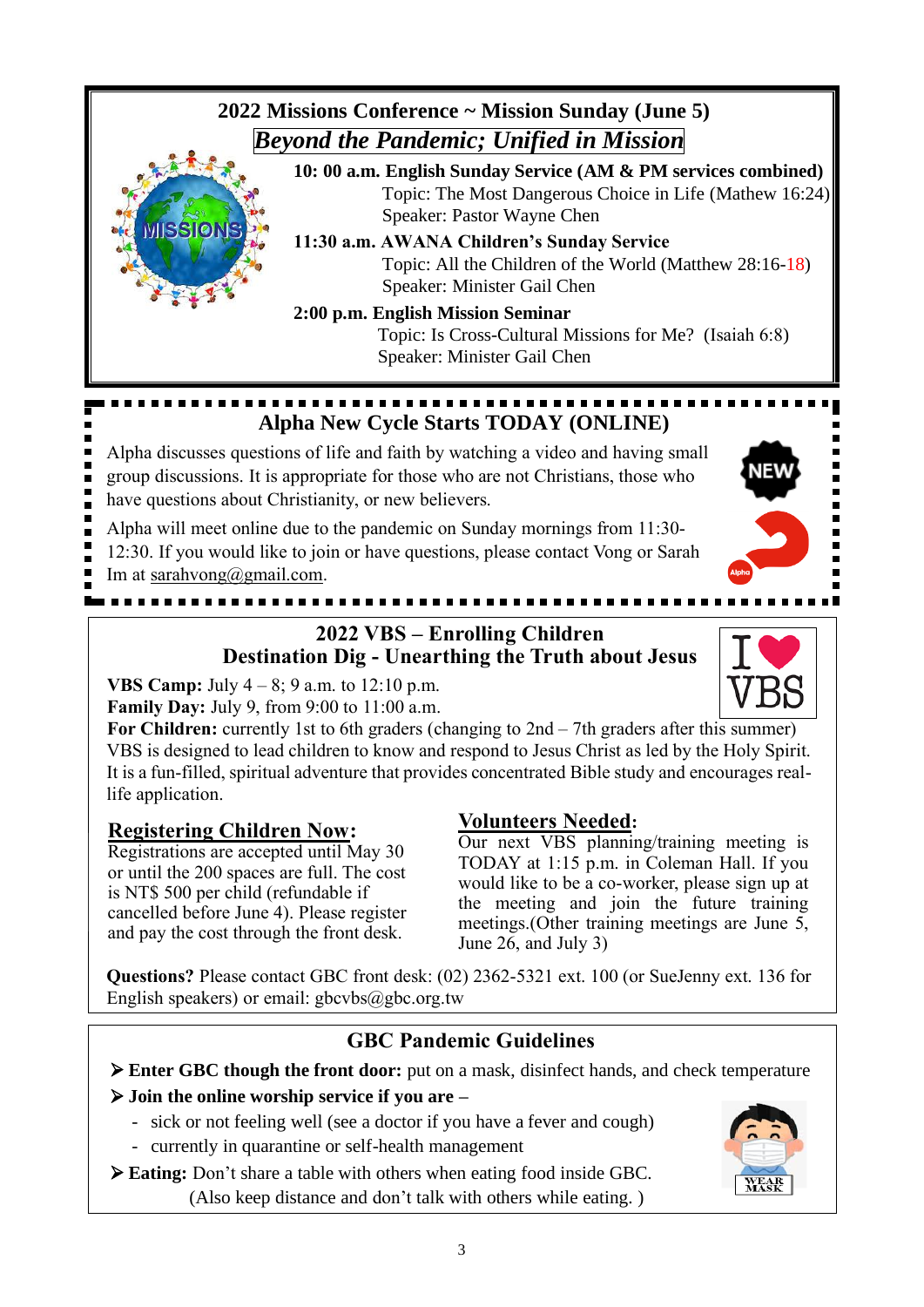

# **Alpha New Cycle Starts TODAY (ONLINE)**

Alpha discusses questions of life and faith by watching a video and having small group discussions. It is appropriate for those who are not Christians, those who have questions about Christianity, or new believers.

Alpha will meet online due to the pandemic on Sunday mornings from 11:30- 12:30. If you would like to join or have questions, please contact Vong or Sarah Im at [sarahvong@gmail.com.](mailto:sarahvong@gmail.com)

#### **2022 VBS – Enrolling Children Destination Dig - Unearthing the Truth about Jesus**

**VBS Camp:** July 4 – 8; 9 a.m. to 12:10 p.m.

**Family Day:** July 9, from 9:00 to 11:00 a.m.

For Children: currently 1st to 6th graders (changing to 2nd – 7th graders after this summer) VBS is designed to lead children to know and respond to Jesus Christ as led by the Holy Spirit. It is a fun-filled, spiritual adventure that provides concentrated Bible study and encourages reallife application.

#### **Registering Children Now:**

Registrations are accepted until May 30 or until the 200 spaces are full. The cost is NT\$ 500 per child (refundable if cancelled before June 4). Please register and pay the cost through the front desk.

#### **Volunteers Needed:**

Our next VBS planning/training meeting is TODAY at 1:15 p.m. in Coleman Hall. If you would like to be a co-worker, please sign up at the meeting and join the future training meetings.(Other training meetings are June 5, June 26, and July 3)

**Questions?** Please contact GBC front desk: (02) 2362-5321 ext. 100 (or SueJenny ext. 136 for English speakers) or email:  $gbcvbs@gbc.org.tw$ 

### **GBC Pandemic Guidelines**

- ➢ **Enter GBC though the front door:** put on a mask, disinfect hands, and check temperature
- ➢ **Join the online worship service if you are –**
	- sick or not feeling well (see a doctor if you have a fever and cough)
	- currently in quarantine or self-health management
- ➢ **Eating:** Don't share a table with others when eating food inside GBC. (Also keep distance and don't talk with others while eating. )



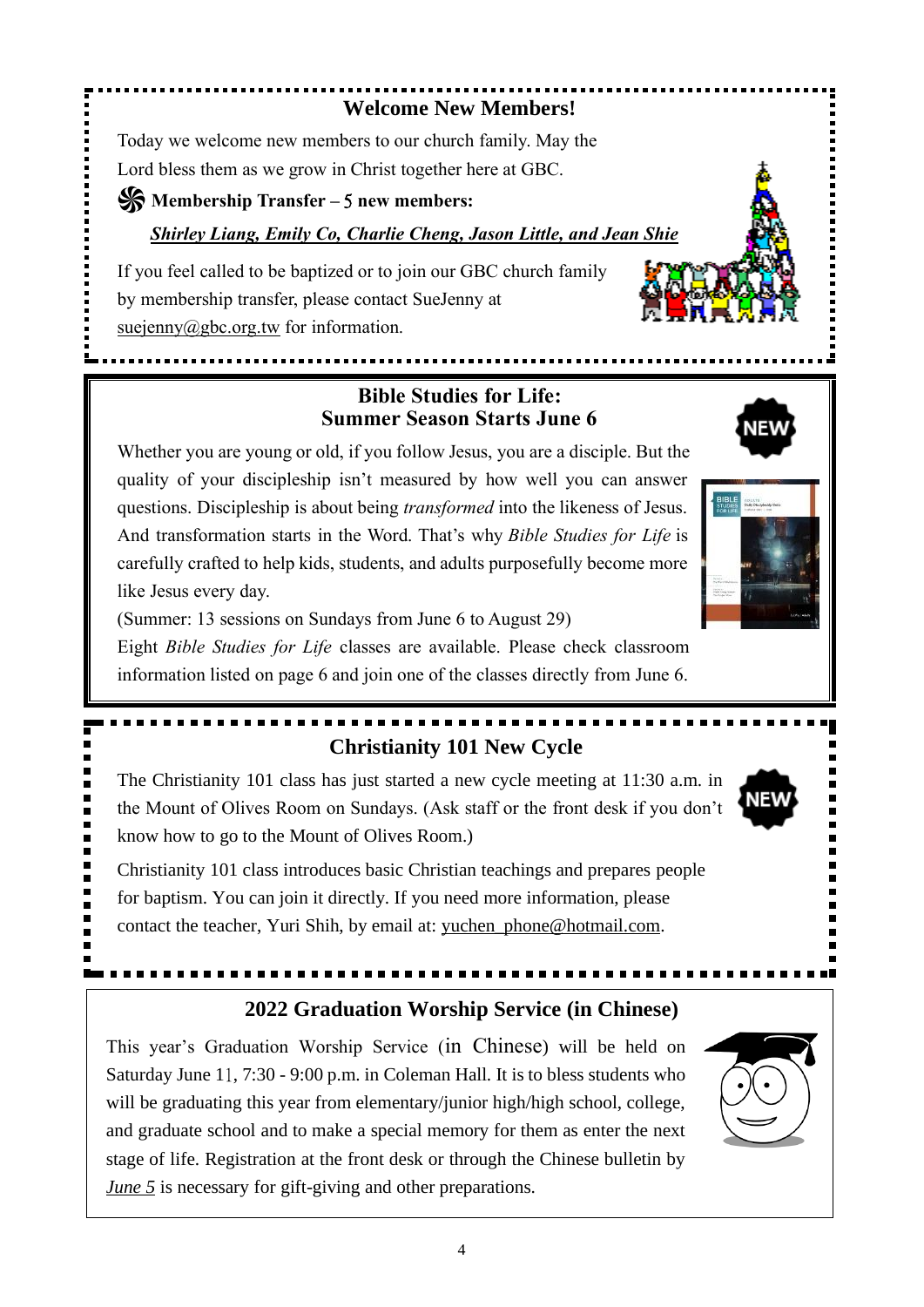#### **Welcome New Members!**

Today we welcome new members to our church family. May the Lord bless them as we grow in Christ together here at GBC.

#### *֍* **Membership Transfer –** <sup>5</sup> **new members:**

*Shirley Liang, Emily Co, Charlie Cheng, Jason Little, and Jean Shie*

If you feel called to be baptized or to join our GBC church family by membership transfer, please contact SueJenny at  $suejenny@gbc.org.tw$  for information.

## **Bible Studies for Life: Summer Season Starts June 6**

Whether you are young or old, if you follow Jesus, you are a disciple. But the quality of your discipleship isn't measured by how well you can answer questions. Discipleship is about being *transformed* into the likeness of Jesus. And transformation starts in the Word. That's why *Bible Studies for Life* is carefully crafted to help kids, students, and adults purposefully become more like Jesus every day.

(Summer: 13 sessions on Sundays from June 6 to August 29)

Eight *Bible Studies for Life* classes are available. Please check classroom information listed on page 6 and join one of the classes directly from June 6.

# **Christianity 101 New Cycle**

The Christianity 101 class has just started a new cycle meeting at 11:30 a.m. in the Mount of Olives Room on Sundays. (Ask staff or the front desk if you don't know how to go to the Mount of Olives Room.)

Christianity 101 class introduces basic Christian teachings and prepares people for baptism. You can join it directly. If you need more information, please contact the teacher, Yuri Shih, by email at: [yuchen\\_phone@hotmail.com.](mailto:yuchen_phone@hotmail.com)

## **2022 Graduation Worship Service (in Chinese)**

This year's Graduation Worship Service (in Chinese) will be held on Saturday June 11, 7:30 - 9:00 p.m. in Coleman Hall. It is to bless students who will be graduating this year from elementary/junior high/high school, college, and graduate school and to make a special memory for them as enter the next stage of life. Registration at the front desk or through the Chinese bulletin by *June 5* is necessary for gift-giving and other preparations.







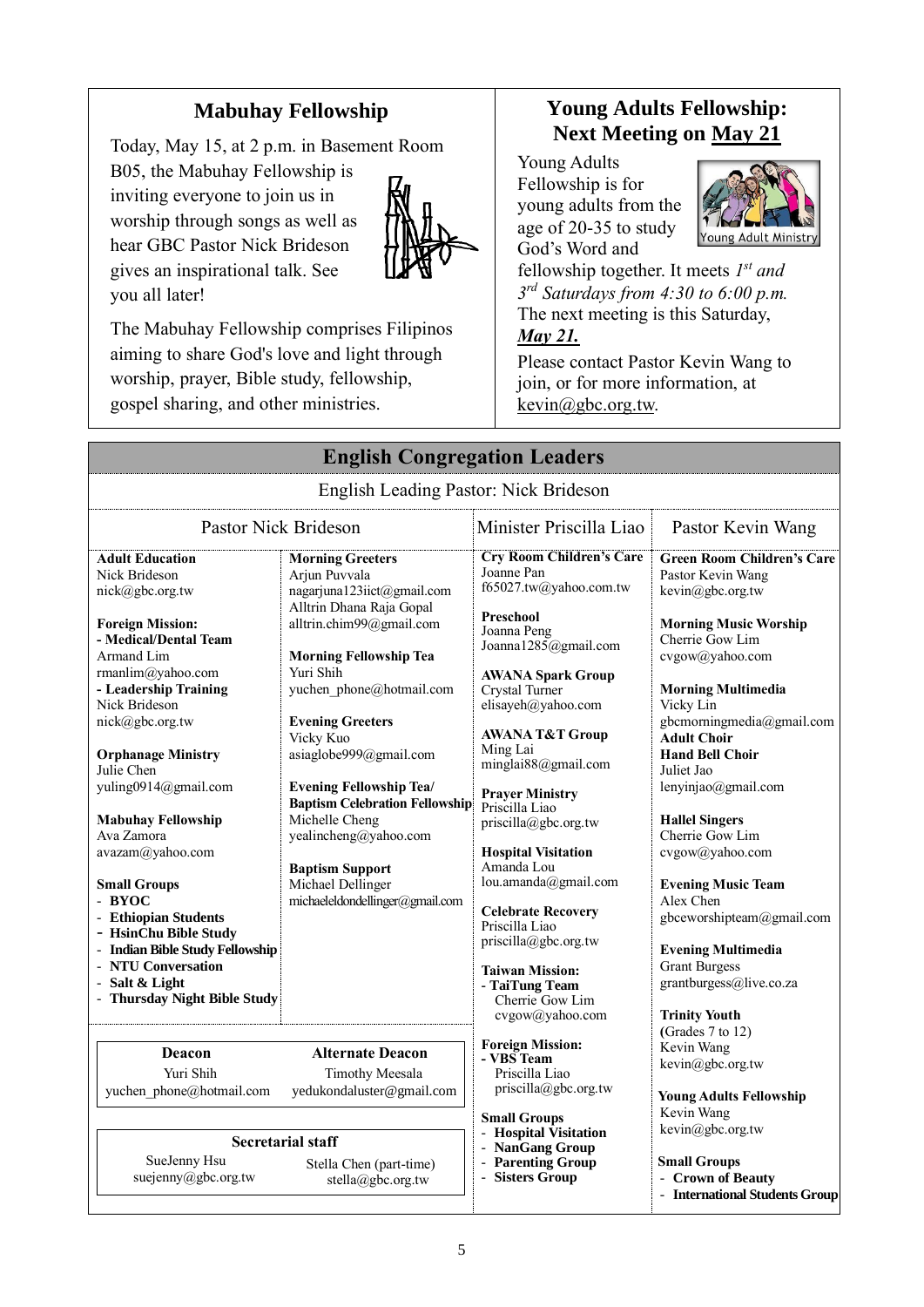## **Mabuhay Fellowship**

Today, May 15, at 2 p.m. in Basement Room

B05, the Mabuhay Fellowship is inviting everyone to join us in worship through songs as well as hear GBC Pastor Nick Brideson gives an inspirational talk. See you all later!



The Mabuhay Fellowship comprises Filipinos aiming to share God's love and light through worship, prayer, Bible study, fellowship, gospel sharing, and other ministries.

# **Young Adults Fellowship: Next Meeting on May 21**

Young Adults Fellowship is for young adults from the age of 20-35 to study God's Word and



fellowship together. It meets *1 st and 3 rd Saturdays from 4:30 to 6:00 p.m.* The next meeting is this Saturday,

#### *May 21.*

Please contact Pastor Kevin Wang to join, or for more information, at kevin@gbc.org.tw.

|                                                                                                                                                                                                                                                                                                                                                                                                                                                                                             | <b>English Congregation Leaders</b>                                                                                                                                                                                                                                                                                                                                                                                                                                                |                                                                                                                                                                                                                                                                                                                                                                                                                                                                                 |                                                                                                                                                                                                                                                                                                                                                                                                                                                                                 |
|---------------------------------------------------------------------------------------------------------------------------------------------------------------------------------------------------------------------------------------------------------------------------------------------------------------------------------------------------------------------------------------------------------------------------------------------------------------------------------------------|------------------------------------------------------------------------------------------------------------------------------------------------------------------------------------------------------------------------------------------------------------------------------------------------------------------------------------------------------------------------------------------------------------------------------------------------------------------------------------|---------------------------------------------------------------------------------------------------------------------------------------------------------------------------------------------------------------------------------------------------------------------------------------------------------------------------------------------------------------------------------------------------------------------------------------------------------------------------------|---------------------------------------------------------------------------------------------------------------------------------------------------------------------------------------------------------------------------------------------------------------------------------------------------------------------------------------------------------------------------------------------------------------------------------------------------------------------------------|
|                                                                                                                                                                                                                                                                                                                                                                                                                                                                                             | English Leading Pastor: Nick Brideson                                                                                                                                                                                                                                                                                                                                                                                                                                              |                                                                                                                                                                                                                                                                                                                                                                                                                                                                                 |                                                                                                                                                                                                                                                                                                                                                                                                                                                                                 |
| Pastor Nick Brideson                                                                                                                                                                                                                                                                                                                                                                                                                                                                        |                                                                                                                                                                                                                                                                                                                                                                                                                                                                                    | Minister Priscilla Liao                                                                                                                                                                                                                                                                                                                                                                                                                                                         | Pastor Kevin Wang                                                                                                                                                                                                                                                                                                                                                                                                                                                               |
| <b>Adult Education</b><br>Nick Brideson<br>nick@gbc.org.tw<br><b>Foreign Mission:</b><br>- Medical/Dental Team<br>Armand Lim<br>rmanlim@yahoo.com<br>- Leadership Training<br>Nick Brideson<br>nick@gbc.org.tw<br><b>Orphanage Ministry</b><br>Julie Chen<br>yuling0914@gmail.com<br><b>Mabuhay Fellowship</b><br>Ava Zamora<br>avazam@yahoo.com<br><b>Small Groups</b><br>- BYOC<br>- Ethiopian Students<br>- HsinChu Bible Study<br>- Indian Bible Study Fellowship<br>- NTU Conversation | <b>Morning Greeters</b><br>Ariun Puvvala<br>nagarjuna123iict@gmail.com<br>Alltrin Dhana Raja Gopal<br>alltrin.chim99@gmail.com<br><b>Morning Fellowship Tea</b><br>Yuri Shih<br>yuchen phone@hotmail.com<br><b>Evening Greeters</b><br>Vicky Kuo<br>asiaglobe999@gmail.com<br><b>Evening Fellowship Tea/</b><br><b>Baptism Celebration Fellowship</b><br>Michelle Cheng<br>yealincheng@yahoo.com<br><b>Baptism Support</b><br>Michael Dellinger<br>michaeleldondellinger@gmail.com | <b>Cry Room Children's Care</b><br>Joanne Pan<br>f65027.tw@yahoo.com.tw<br>Preschool<br>Joanna Peng<br>Joanna1285@gmail.com<br><b>AWANA Spark Group</b><br>Crystal Turner<br>elisayeh@yahoo.com<br><b>AWANA T&amp;T Group</b><br>Ming Lai<br>minglai88@gmail.com<br><b>Prayer Ministry</b><br>Priscilla Liao<br>priscilla@gbc.org.tw<br><b>Hospital Visitation</b><br>Amanda Lou<br>lou.amanda@gmail.com<br><b>Celebrate Recovery</b><br>Priscilla Liao<br>priscilla@gbc.org.tw | <b>Green Room Children's Care</b><br>Pastor Kevin Wang<br>kevin@gbc.org.tw<br><b>Morning Music Worship</b><br>Cherrie Gow Lim<br>cvgow@yahoo.com<br><b>Morning Multimedia</b><br>Vicky Lin<br>gbcmorningmedia@gmail.com<br><b>Adult Choir</b><br><b>Hand Bell Choir</b><br>Juliet Jao<br>lenyinjao@gmail.com<br><b>Hallel Singers</b><br>Cherrie Gow Lim<br>cvgow@yahoo.com<br><b>Evening Music Team</b><br>Alex Chen<br>gbceworshipteam@gmail.com<br><b>Evening Multimedia</b> |
| Salt & Light<br>- Thursday Night Bible Study                                                                                                                                                                                                                                                                                                                                                                                                                                                |                                                                                                                                                                                                                                                                                                                                                                                                                                                                                    | <b>Taiwan Mission:</b><br>- TaiTung Team<br>Cherrie Gow Lim<br>cvgow@yahoo.com                                                                                                                                                                                                                                                                                                                                                                                                  | <b>Grant Burgess</b><br>grantburgess@live.co.za<br><b>Trinity Youth</b><br>(Grades 7 to 12)                                                                                                                                                                                                                                                                                                                                                                                     |
| Deacon<br>Yuri Shih<br>yuchen phone@hotmail.com                                                                                                                                                                                                                                                                                                                                                                                                                                             | <b>Alternate Deacon</b><br><b>Timothy Meesala</b><br>yedukondaluster@gmail.com                                                                                                                                                                                                                                                                                                                                                                                                     | <b>Foreign Mission:</b><br>- VBS Team<br>Priscilla Liao<br>priscilla@gbc.org.tw                                                                                                                                                                                                                                                                                                                                                                                                 | Kevin Wang<br>kevin@gbc.org.tw<br><b>Young Adults Fellowship</b>                                                                                                                                                                                                                                                                                                                                                                                                                |
| SueJenny Hsu<br>suejenny@gbc.org.tw                                                                                                                                                                                                                                                                                                                                                                                                                                                         | <b>Secretarial staff</b><br>Stella Chen (part-time)<br>stella@gbc.org.tw                                                                                                                                                                                                                                                                                                                                                                                                           | <b>Small Groups</b><br>- Hospital Visitation<br>- NanGang Group<br>- Parenting Group<br>- Sisters Group                                                                                                                                                                                                                                                                                                                                                                         | Kevin Wang<br>kevin@gbc.org.tw<br><b>Small Groups</b><br>- Crown of Beauty<br>- International Students Group                                                                                                                                                                                                                                                                                                                                                                    |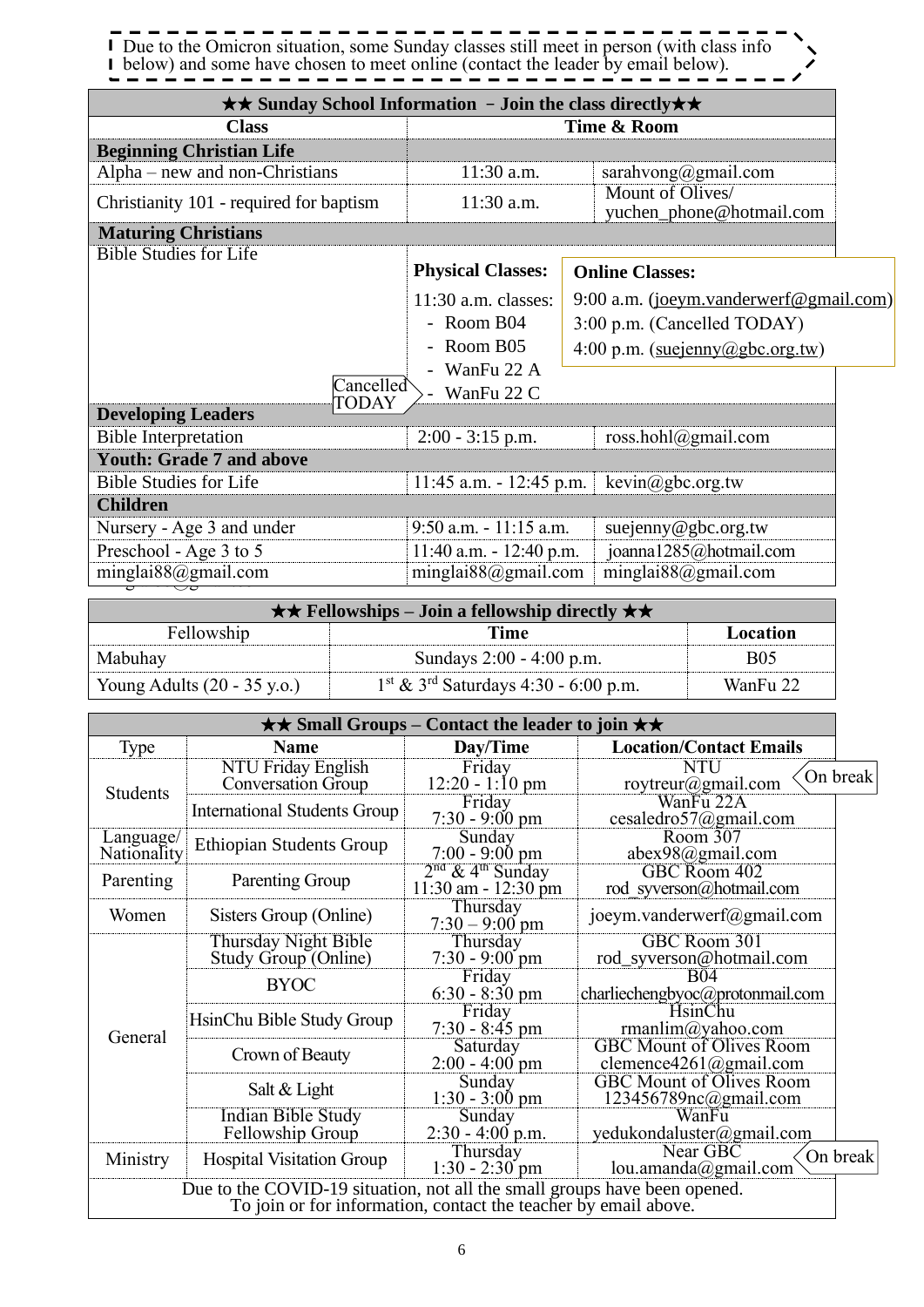Due to the Omicron situation, some Sunday classes still meet in person (with class info below) and some have chosen to meet online (contact the leader by email below).

| $\star\star$ Sunday School Information - Join the class directly $\star\star$ |                            |                                              |  |
|-------------------------------------------------------------------------------|----------------------------|----------------------------------------------|--|
| <b>Class</b>                                                                  |                            | Time & Room                                  |  |
| <b>Beginning Christian Life</b>                                               |                            |                                              |  |
| $Alpha$ – new and non-Christians                                              | 11:30 a.m.                 | sarahvong@gmail.com                          |  |
| Christianity 101 - required for baptism                                       | $11:30$ a.m.               | Mount of Olives/<br>yuchen_phone@hotmail.com |  |
| <b>Maturing Christians</b>                                                    |                            |                                              |  |
| <b>Bible Studies for Life</b>                                                 | <b>Physical Classes:</b>   | <b>Online Classes:</b>                       |  |
|                                                                               | $11:30$ a.m. classes:      | 9:00 a.m. (joeym.vanderwerf@gmail.com)       |  |
|                                                                               | - Room B04                 | 3:00 p.m. (Cancelled TODAY)                  |  |
|                                                                               | - Room $B05$               | 4:00 p.m. $(suejenny@gbc.org.tw)$            |  |
|                                                                               | WanFu 22 A                 |                                              |  |
| Cancelled<br>TODAY                                                            | - WanFu 22 C               |                                              |  |
| <b>Developing Leaders</b>                                                     |                            |                                              |  |
| <b>Bible Interpretation</b>                                                   | $2:00 - 3:15$ p.m.         | ross.hohl@gmail.com                          |  |
| <b>Youth: Grade 7 and above</b>                                               |                            |                                              |  |
| <b>Bible Studies for Life</b>                                                 | $11:45$ a.m. $-12:45$ p.m. | $\text{kevin}(a)$ gbc.org.tw                 |  |
| <b>Children</b>                                                               |                            |                                              |  |
| Nursery - Age 3 and under                                                     | $9:50$ a.m. $-11:15$ a.m.  | suejenny@gbc.org.tw                          |  |
| Preschool - Age 3 to 5                                                        | $11:40$ a.m. $-12:40$ p.m. | joanna1285@hotmail.com                       |  |
| minglai88@gmail.com                                                           | minglai $88@$ gmail.com    | minglai $88@$ gmail.com                      |  |

|                                       | $\star \star$ Fellowships – Join a fellowship directly $\star \star$ |            |
|---------------------------------------|----------------------------------------------------------------------|------------|
| Fellowship                            | Time                                                                 | Location   |
| Mabuhay                               | Sundays 2:00 - 4:00 p.m.                                             | <b>B05</b> |
| Young Adults $(20 - 35 \text{ y.o.})$ | $1st$ & 3 <sup>rd</sup> Saturdays 4:30 - 6:00 p.m.                   | WanFu 22   |

|                          |                                                                                                                                              | $\star\star$ Small Groups – Contact the leader to join $\star\star$ |                                                           |          |
|--------------------------|----------------------------------------------------------------------------------------------------------------------------------------------|---------------------------------------------------------------------|-----------------------------------------------------------|----------|
| Type                     | <b>Name</b>                                                                                                                                  | Day/Time                                                            | <b>Location/Contact Emails</b>                            |          |
| <b>Students</b>          | <b>NTU Friday English</b><br><b>Conversation Group</b>                                                                                       | Friday<br>$12:20 - 1:10$ pm                                         | NTU<br>roytreur@gmail.com                                 | On break |
|                          | <b>International Students Group</b>                                                                                                          | Friday<br>$7:30 - 9:00$ pm                                          | WanFu 22A<br>cesaledro57@gmail.com                        |          |
| Language/<br>Nationality | <b>Ethiopian Students Group</b>                                                                                                              | Sunday<br>$7:00 - 9:00$ pm                                          | Room 307<br>abex98@gmail.com                              |          |
| Parenting                | Parenting Group                                                                                                                              | $2nd$ & 4 <sup>th</sup> Sunday<br>$11:30$ am - $12:30$ pm           | GBC Room 402<br>rod syverson@hotmail.com                  |          |
| Women                    | Sisters Group (Online)                                                                                                                       | Thursday<br>$7:30 - 9:00$ pm                                        | joeym.vanderwerf@gmail.com                                |          |
|                          | Thursday Night Bible<br>Study Group (Online)                                                                                                 | Thursday<br>$7:30 - 9:00$ pm                                        | GBC Room 301<br>rod_syverson@hotmail.com                  |          |
|                          | <b>BYOC</b>                                                                                                                                  | Friday<br>$6:30 - 8:30$ pm                                          | <b>B04</b><br>charliechengbyoc@protonmail.com             |          |
| General                  | HsinChu Bible Study Group                                                                                                                    | Friday<br>$7:30 - 8:45$ pm                                          | HsinChu<br>rmanlim@yahoo.com                              |          |
|                          | Crown of Beauty                                                                                                                              | Saturday<br>$2:00 - 4:00$ pm                                        | <b>GBC Mount of Olives Room</b><br>clemence4261@gmail.com |          |
|                          | Salt & Light                                                                                                                                 | Sunday<br>$1:30 - 3:00$ pm                                          | <b>GBC Mount of Olives Room</b><br>123456789nc@gmail.com  |          |
|                          | <b>Indian Bible Study</b><br>Fellowship Group                                                                                                | Sunday<br>$2:30 - 4:00$ p.m.                                        | WanFu<br>yedukondaluster@gmail.com                        |          |
| Ministry                 | <b>Hospital Visitation Group</b>                                                                                                             | Thursday<br>$1:30 - 2:30$ pm                                        | Near GBC<br>lou.amanda@gmail.com                          | On break |
|                          | Due to the COVID-19 situation, not all the small groups have been opened.<br>To join or for information, contact the teacher by email above. |                                                                     |                                                           |          |